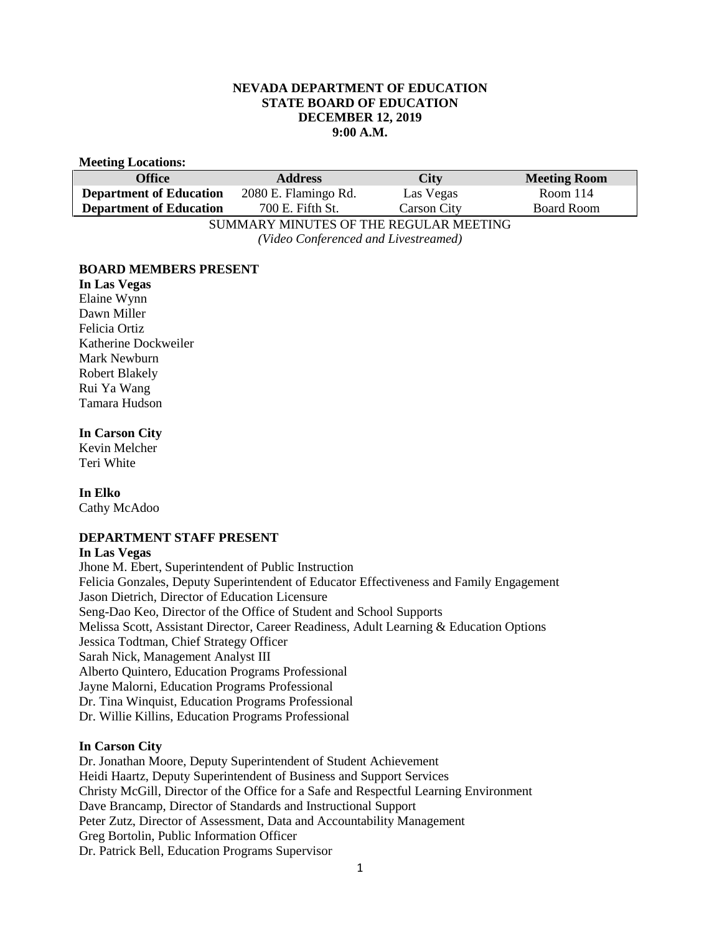### **NEVADA DEPARTMENT OF EDUCATION STATE BOARD OF EDUCATION DECEMBER 12, 2019 9:00 A.M.**

#### **Meeting Locations:**

| Office                                               | <b>Address</b>       | <b>City</b> | <b>Meeting Room</b> |
|------------------------------------------------------|----------------------|-------------|---------------------|
| <b>Department of Education</b>                       | 2080 E. Flamingo Rd. | Las Vegas   | Room 114            |
| <b>Department of Education</b>                       | 700 E. Fifth St.     | Carson City | Board Room          |
| $\alpha$ in a Libylian uppo op pur brout i bildepulo |                      |             |                     |

SUMMARY MINUTES OF THE REGULAR MEETING *(Video Conferenced and Livestreamed)* 

#### **BOARD MEMBERS PRESENT**

#### **In Las Vegas**

Elaine Wynn Dawn Miller Felicia Ortiz Katherine Dockweiler Mark Newburn Robert Blakely Rui Ya Wang Tamara Hudson

# **In Carson City**

Kevin Melcher Teri White

### **In Elko**

Cathy McAdoo

# **DEPARTMENT STAFF PRESENT**

#### **In Las Vegas**

Jhone M. Ebert, Superintendent of Public Instruction Felicia Gonzales, Deputy Superintendent of Educator Effectiveness and Family Engagement Jason Dietrich, Director of Education Licensure Seng-Dao Keo, Director of the Office of Student and School Supports Melissa Scott, Assistant Director, Career Readiness, Adult Learning & Education Options Jessica Todtman, Chief Strategy Officer Sarah Nick, Management Analyst III Alberto Quintero, Education Programs Professional Jayne Malorni, Education Programs Professional Dr. Tina Winquist, Education Programs Professional Dr. Willie Killins, Education Programs Professional

### **In Carson City**

Dr. Jonathan Moore, Deputy Superintendent of Student Achievement Heidi Haartz, Deputy Superintendent of Business and Support Services Christy McGill, Director of the Office for a Safe and Respectful Learning Environment Dave Brancamp, Director of Standards and Instructional Support Peter Zutz, Director of Assessment, Data and Accountability Management Greg Bortolin, Public Information Officer Dr. Patrick Bell, Education Programs Supervisor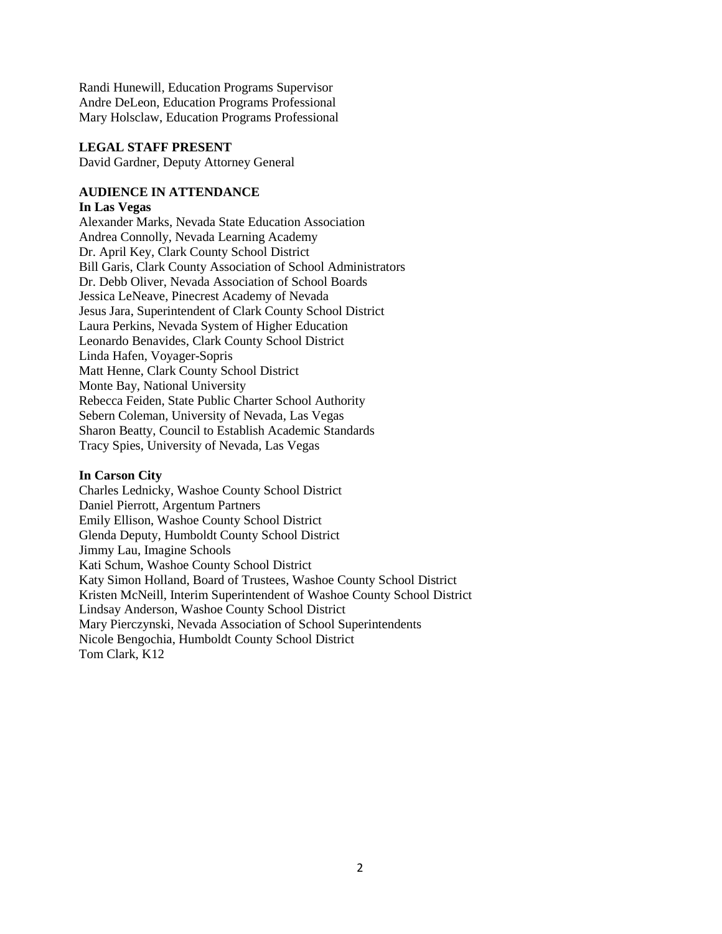Randi Hunewill, Education Programs Supervisor Andre DeLeon, Education Programs Professional Mary Holsclaw, Education Programs Professional

#### **LEGAL STAFF PRESENT**

David Gardner, Deputy Attorney General

### **AUDIENCE IN ATTENDANCE**

#### **In Las Vegas**

Alexander Marks, Nevada State Education Association Andrea Connolly, Nevada Learning Academy Dr. April Key, Clark County School District Bill Garis, Clark County Association of School Administrators Dr. Debb Oliver, Nevada Association of School Boards Jessica LeNeave, Pinecrest Academy of Nevada Jesus Jara, Superintendent of Clark County School District Laura Perkins, Nevada System of Higher Education Leonardo Benavides, Clark County School District Linda Hafen, Voyager-Sopris Matt Henne, Clark County School District Monte Bay, National University Rebecca Feiden, State Public Charter School Authority Sebern Coleman, University of Nevada, Las Vegas Sharon Beatty, Council to Establish Academic Standards Tracy Spies, University of Nevada, Las Vegas

#### **In Carson City**

Charles Lednicky, Washoe County School District Daniel Pierrott, Argentum Partners Emily Ellison, Washoe County School District Glenda Deputy, Humboldt County School District Jimmy Lau, Imagine Schools Kati Schum, Washoe County School District Katy Simon Holland, Board of Trustees, Washoe County School District Kristen McNeill, Interim Superintendent of Washoe County School District Lindsay Anderson, Washoe County School District Mary Pierczynski, Nevada Association of School Superintendents Nicole Bengochia, Humboldt County School District Tom Clark, K12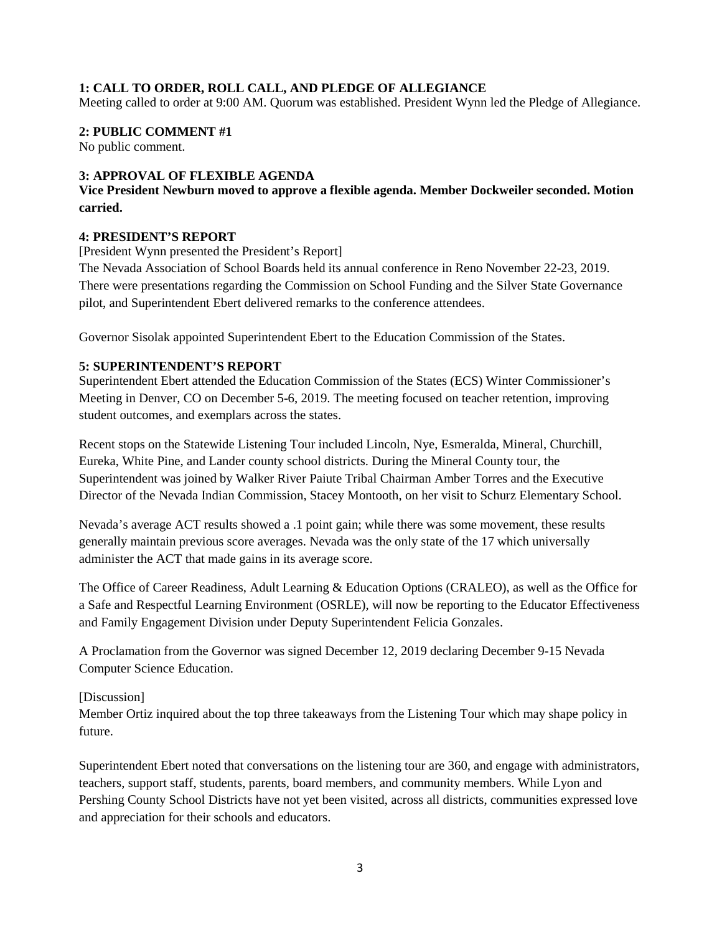# **1: CALL TO ORDER, ROLL CALL, AND PLEDGE OF ALLEGIANCE**

Meeting called to order at 9:00 AM. Quorum was established. President Wynn led the Pledge of Allegiance.

#### **2: PUBLIC COMMENT #1**

No public comment.

# **3: APPROVAL OF FLEXIBLE AGENDA**

# **Vice President Newburn moved to approve a flexible agenda. Member Dockweiler seconded. Motion carried.**

### **4: PRESIDENT'S REPORT**

[President Wynn presented the President's Report]

The Nevada Association of School Boards held its annual conference in Reno November 22-23, 2019. There were presentations regarding the Commission on School Funding and the Silver State Governance pilot, and Superintendent Ebert delivered remarks to the conference attendees.

Governor Sisolak appointed Superintendent Ebert to the Education Commission of the States.

#### **5: SUPERINTENDENT'S REPORT**

Superintendent Ebert attended the Education Commission of the States (ECS) Winter Commissioner's Meeting in Denver, CO on December 5-6, 2019. The meeting focused on teacher retention, improving student outcomes, and exemplars across the states.

Recent stops on the Statewide Listening Tour included Lincoln, Nye, Esmeralda, Mineral, Churchill, Eureka, White Pine, and Lander county school districts. During the Mineral County tour, the Superintendent was joined by Walker River Paiute Tribal Chairman Amber Torres and the Executive Director of the Nevada Indian Commission, Stacey Montooth, on her visit to Schurz Elementary School.

Nevada's average ACT results showed a .1 point gain; while there was some movement, these results generally maintain previous score averages. Nevada was the only state of the 17 which universally administer the ACT that made gains in its average score.

The Office of Career Readiness, Adult Learning & Education Options (CRALEO), as well as the Office for a Safe and Respectful Learning Environment (OSRLE), will now be reporting to the Educator Effectiveness and Family Engagement Division under Deputy Superintendent Felicia Gonzales.

A Proclamation from the Governor was signed December 12, 2019 declaring December 9-15 Nevada Computer Science Education.

### [Discussion]

Member Ortiz inquired about the top three takeaways from the Listening Tour which may shape policy in future.

Superintendent Ebert noted that conversations on the listening tour are 360, and engage with administrators, teachers, support staff, students, parents, board members, and community members. While Lyon and Pershing County School Districts have not yet been visited, across all districts, communities expressed love and appreciation for their schools and educators.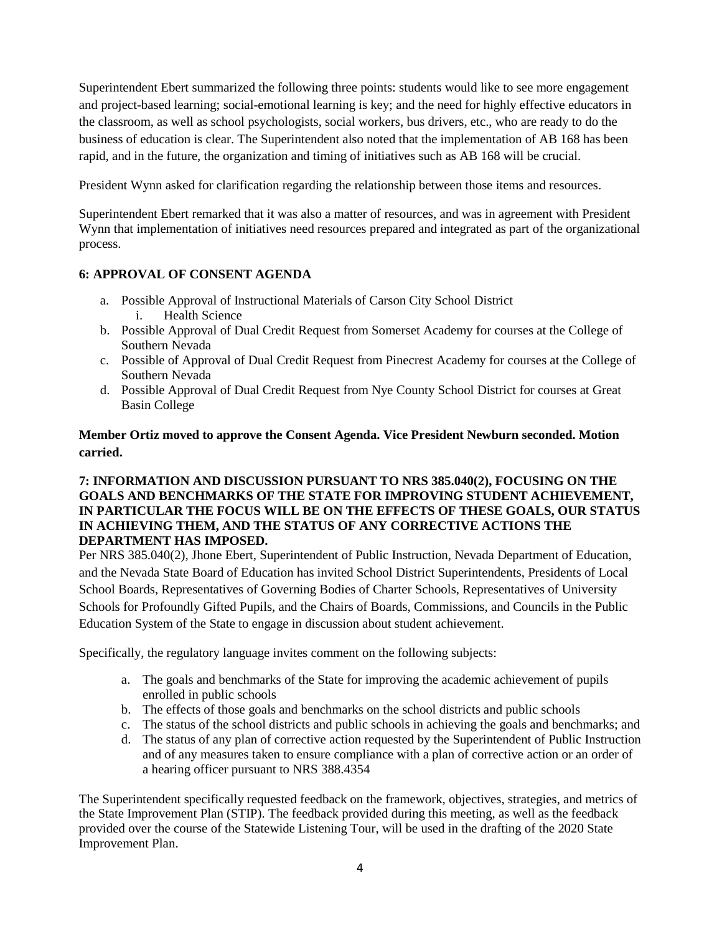Superintendent Ebert summarized the following three points: students would like to see more engagement and project-based learning; social-emotional learning is key; and the need for highly effective educators in the classroom, as well as school psychologists, social workers, bus drivers, etc., who are ready to do the business of education is clear. The Superintendent also noted that the implementation of AB 168 has been rapid, and in the future, the organization and timing of initiatives such as AB 168 will be crucial.

President Wynn asked for clarification regarding the relationship between those items and resources.

Superintendent Ebert remarked that it was also a matter of resources, and was in agreement with President Wynn that implementation of initiatives need resources prepared and integrated as part of the organizational process.

# **6: APPROVAL OF CONSENT AGENDA**

- a. Possible Approval of Instructional Materials of Carson City School District i. Health Science
- b. Possible Approval of Dual Credit Request from Somerset Academy for courses at the College of Southern Nevada
- c. Possible of Approval of Dual Credit Request from Pinecrest Academy for courses at the College of Southern Nevada
- d. Possible Approval of Dual Credit Request from Nye County School District for courses at Great Basin College

# **Member Ortiz moved to approve the Consent Agenda. Vice President Newburn seconded. Motion carried.**

# **7: INFORMATION AND DISCUSSION PURSUANT TO NRS 385.040(2), FOCUSING ON THE GOALS AND BENCHMARKS OF THE STATE FOR IMPROVING STUDENT ACHIEVEMENT, IN PARTICULAR THE FOCUS WILL BE ON THE EFFECTS OF THESE GOALS, OUR STATUS IN ACHIEVING THEM, AND THE STATUS OF ANY CORRECTIVE ACTIONS THE DEPARTMENT HAS IMPOSED.**

Per NRS 385.040(2), Jhone Ebert, Superintendent of Public Instruction, Nevada Department of Education, and the Nevada State Board of Education has invited School District Superintendents, Presidents of Local School Boards, Representatives of Governing Bodies of Charter Schools, Representatives of University Schools for Profoundly Gifted Pupils, and the Chairs of Boards, Commissions, and Councils in the Public Education System of the State to engage in discussion about student achievement.

Specifically, the regulatory language invites comment on the following subjects:

- a. The goals and benchmarks of the State for improving the academic achievement of pupils enrolled in public schools
- b. The effects of those goals and benchmarks on the school districts and public schools
- c. The status of the school districts and public schools in achieving the goals and benchmarks; and
- d. The status of any plan of corrective action requested by the Superintendent of Public Instruction and of any measures taken to ensure compliance with a plan of corrective action or an order of a hearing officer pursuant to NRS 388.4354

The Superintendent specifically requested feedback on the framework, objectives, strategies, and metrics of the State Improvement Plan (STIP). The feedback provided during this meeting, as well as the feedback provided over the course of the Statewide Listening Tour, will be used in the drafting of the 2020 State Improvement Plan.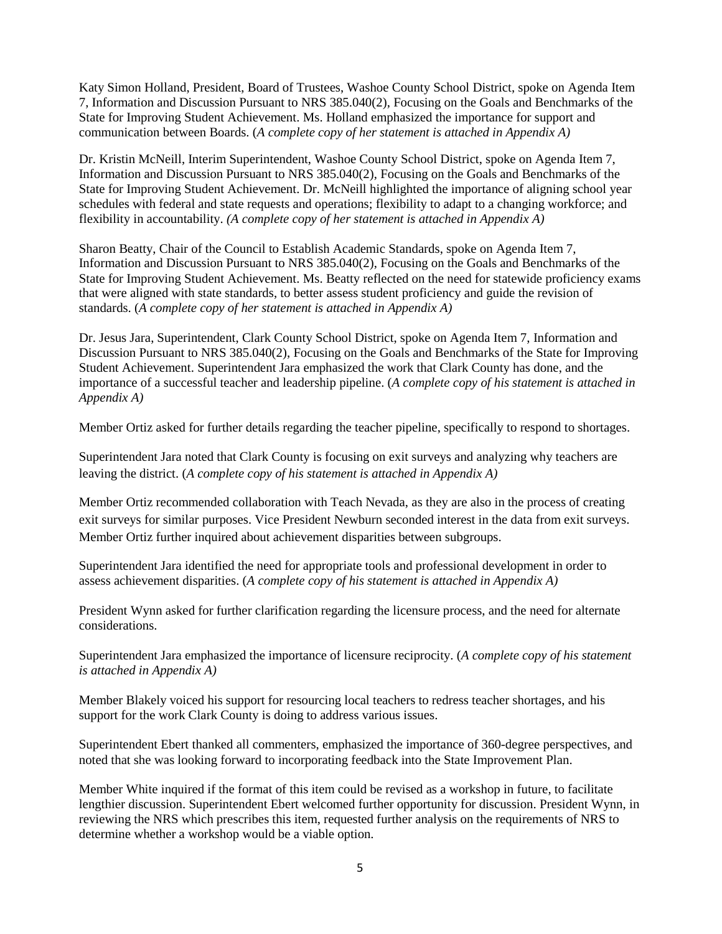Katy Simon Holland, President, Board of Trustees, Washoe County School District, spoke on Agenda Item 7, Information and Discussion Pursuant to NRS 385.040(2), Focusing on the Goals and Benchmarks of the State for Improving Student Achievement. Ms. Holland emphasized the importance for support and communication between Boards. (*A complete copy of her statement is attached in Appendix A)* 

Dr. Kristin McNeill, Interim Superintendent, Washoe County School District, spoke on Agenda Item 7, Information and Discussion Pursuant to NRS 385.040(2), Focusing on the Goals and Benchmarks of the State for Improving Student Achievement. Dr. McNeill highlighted the importance of aligning school year schedules with federal and state requests and operations; flexibility to adapt to a changing workforce; and flexibility in accountability. *(A complete copy of her statement is attached in Appendix A)*

Sharon Beatty, Chair of the Council to Establish Academic Standards, spoke on Agenda Item 7, Information and Discussion Pursuant to NRS 385.040(2), Focusing on the Goals and Benchmarks of the State for Improving Student Achievement. Ms. Beatty reflected on the need for statewide proficiency exams that were aligned with state standards, to better assess student proficiency and guide the revision of standards. (*A complete copy of her statement is attached in Appendix A)*

Dr. Jesus Jara, Superintendent, Clark County School District, spoke on Agenda Item 7, Information and Discussion Pursuant to NRS 385.040(2), Focusing on the Goals and Benchmarks of the State for Improving Student Achievement. Superintendent Jara emphasized the work that Clark County has done, and the importance of a successful teacher and leadership pipeline. (*A complete copy of his statement is attached in Appendix A)*

Member Ortiz asked for further details regarding the teacher pipeline, specifically to respond to shortages.

Superintendent Jara noted that Clark County is focusing on exit surveys and analyzing why teachers are leaving the district. (*A complete copy of his statement is attached in Appendix A)* 

Member Ortiz recommended collaboration with Teach Nevada, as they are also in the process of creating exit surveys for similar purposes. Vice President Newburn seconded interest in the data from exit surveys. Member Ortiz further inquired about achievement disparities between subgroups.

Superintendent Jara identified the need for appropriate tools and professional development in order to assess achievement disparities. (*A complete copy of his statement is attached in Appendix A)*

President Wynn asked for further clarification regarding the licensure process, and the need for alternate considerations.

Superintendent Jara emphasized the importance of licensure reciprocity. (*A complete copy of his statement is attached in Appendix A)*

Member Blakely voiced his support for resourcing local teachers to redress teacher shortages, and his support for the work Clark County is doing to address various issues.

Superintendent Ebert thanked all commenters, emphasized the importance of 360-degree perspectives, and noted that she was looking forward to incorporating feedback into the State Improvement Plan.

Member White inquired if the format of this item could be revised as a workshop in future, to facilitate lengthier discussion. Superintendent Ebert welcomed further opportunity for discussion. President Wynn, in reviewing the NRS which prescribes this item, requested further analysis on the requirements of NRS to determine whether a workshop would be a viable option.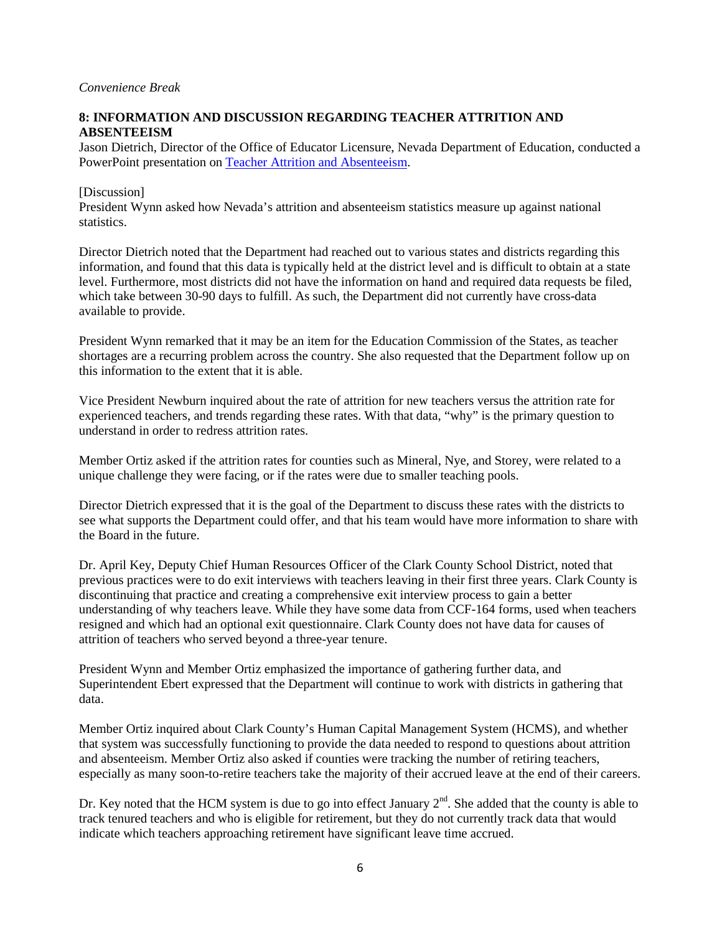# **8: INFORMATION AND DISCUSSION REGARDING TEACHER ATTRITION AND ABSENTEEISM**

Jason Dietrich, Director of the Office of Educator Licensure, Nevada Department of Education, conducted a PowerPoint presentation on [Teacher Attrition and Absenteeism.](http://www.doe.nv.gov/uploadedFiles/ndedoenvgov/content/Boards_Commissions_Councils/State_Board_of_Education/2019/December/AgendaItem8_Teacherdata_MA121019%20JT.PDF)

### [Discussion]

President Wynn asked how Nevada's attrition and absenteeism statistics measure up against national statistics.

Director Dietrich noted that the Department had reached out to various states and districts regarding this information, and found that this data is typically held at the district level and is difficult to obtain at a state level. Furthermore, most districts did not have the information on hand and required data requests be filed, which take between 30-90 days to fulfill. As such, the Department did not currently have cross-data available to provide.

President Wynn remarked that it may be an item for the Education Commission of the States, as teacher shortages are a recurring problem across the country. She also requested that the Department follow up on this information to the extent that it is able.

Vice President Newburn inquired about the rate of attrition for new teachers versus the attrition rate for experienced teachers, and trends regarding these rates. With that data, "why" is the primary question to understand in order to redress attrition rates.

Member Ortiz asked if the attrition rates for counties such as Mineral, Nye, and Storey, were related to a unique challenge they were facing, or if the rates were due to smaller teaching pools.

Director Dietrich expressed that it is the goal of the Department to discuss these rates with the districts to see what supports the Department could offer, and that his team would have more information to share with the Board in the future.

Dr. April Key, Deputy Chief Human Resources Officer of the Clark County School District, noted that previous practices were to do exit interviews with teachers leaving in their first three years. Clark County is discontinuing that practice and creating a comprehensive exit interview process to gain a better understanding of why teachers leave. While they have some data from CCF-164 forms, used when teachers resigned and which had an optional exit questionnaire. Clark County does not have data for causes of attrition of teachers who served beyond a three-year tenure.

President Wynn and Member Ortiz emphasized the importance of gathering further data, and Superintendent Ebert expressed that the Department will continue to work with districts in gathering that data.

Member Ortiz inquired about Clark County's Human Capital Management System (HCMS), and whether that system was successfully functioning to provide the data needed to respond to questions about attrition and absenteeism. Member Ortiz also asked if counties were tracking the number of retiring teachers, especially as many soon-to-retire teachers take the majority of their accrued leave at the end of their careers.

Dr. Key noted that the HCM system is due to go into effect January  $2<sup>nd</sup>$ . She added that the county is able to track tenured teachers and who is eligible for retirement, but they do not currently track data that would indicate which teachers approaching retirement have significant leave time accrued.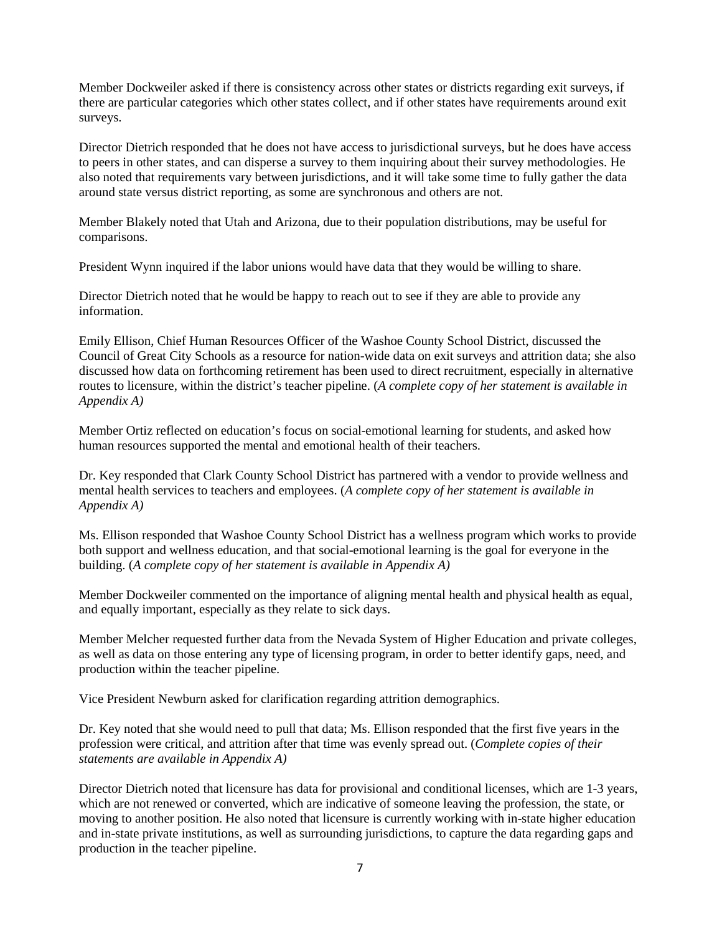Member Dockweiler asked if there is consistency across other states or districts regarding exit surveys, if there are particular categories which other states collect, and if other states have requirements around exit surveys.

Director Dietrich responded that he does not have access to jurisdictional surveys, but he does have access to peers in other states, and can disperse a survey to them inquiring about their survey methodologies. He also noted that requirements vary between jurisdictions, and it will take some time to fully gather the data around state versus district reporting, as some are synchronous and others are not.

Member Blakely noted that Utah and Arizona, due to their population distributions, may be useful for comparisons.

President Wynn inquired if the labor unions would have data that they would be willing to share.

Director Dietrich noted that he would be happy to reach out to see if they are able to provide any information.

Emily Ellison, Chief Human Resources Officer of the Washoe County School District, discussed the Council of Great City Schools as a resource for nation-wide data on exit surveys and attrition data; she also discussed how data on forthcoming retirement has been used to direct recruitment, especially in alternative routes to licensure, within the district's teacher pipeline. (*A complete copy of her statement is available in Appendix A)* 

Member Ortiz reflected on education's focus on social-emotional learning for students, and asked how human resources supported the mental and emotional health of their teachers.

Dr. Key responded that Clark County School District has partnered with a vendor to provide wellness and mental health services to teachers and employees. (*A complete copy of her statement is available in Appendix A)* 

Ms. Ellison responded that Washoe County School District has a wellness program which works to provide both support and wellness education, and that social-emotional learning is the goal for everyone in the building. (*A complete copy of her statement is available in Appendix A)* 

Member Dockweiler commented on the importance of aligning mental health and physical health as equal, and equally important, especially as they relate to sick days.

Member Melcher requested further data from the Nevada System of Higher Education and private colleges, as well as data on those entering any type of licensing program, in order to better identify gaps, need, and production within the teacher pipeline.

Vice President Newburn asked for clarification regarding attrition demographics.

Dr. Key noted that she would need to pull that data; Ms. Ellison responded that the first five years in the profession were critical, and attrition after that time was evenly spread out. (*Complete copies of their statements are available in Appendix A)* 

Director Dietrich noted that licensure has data for provisional and conditional licenses, which are 1-3 years, which are not renewed or converted, which are indicative of someone leaving the profession, the state, or moving to another position. He also noted that licensure is currently working with in-state higher education and in-state private institutions, as well as surrounding jurisdictions, to capture the data regarding gaps and production in the teacher pipeline.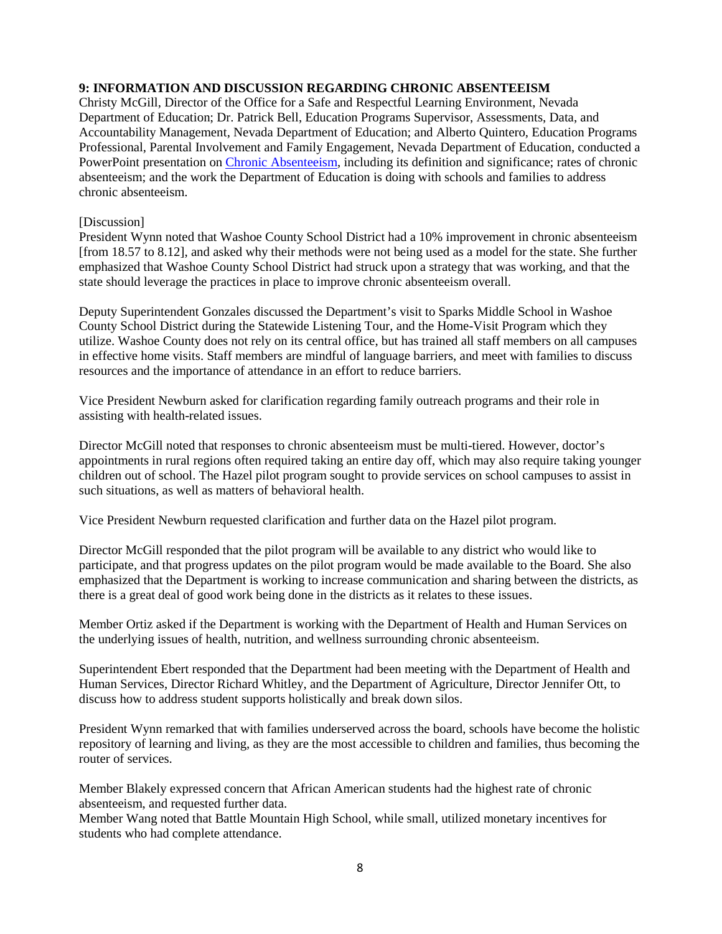# **9: INFORMATION AND DISCUSSION REGARDING CHRONIC ABSENTEEISM**

Christy McGill, Director of the Office for a Safe and Respectful Learning Environment, Nevada Department of Education; Dr. Patrick Bell, Education Programs Supervisor, Assessments, Data, and Accountability Management, Nevada Department of Education; and Alberto Quintero, Education Programs Professional, Parental Involvement and Family Engagement, Nevada Department of Education, conducted a PowerPoint presentation on [Chronic Absenteeism,](http://www.doe.nv.gov/uploadedFiles/ndedoenvgov/content/Boards_Commissions_Councils/State_Board_of_Education/2019/December/Chronic_Absenteeismitem9.pdf) including its definition and significance; rates of chronic absenteeism; and the work the Department of Education is doing with schools and families to address chronic absenteeism.

### [Discussion]

President Wynn noted that Washoe County School District had a 10% improvement in chronic absenteeism [from 18.57 to 8.12], and asked why their methods were not being used as a model for the state. She further emphasized that Washoe County School District had struck upon a strategy that was working, and that the state should leverage the practices in place to improve chronic absenteeism overall.

Deputy Superintendent Gonzales discussed the Department's visit to Sparks Middle School in Washoe County School District during the Statewide Listening Tour, and the Home-Visit Program which they utilize. Washoe County does not rely on its central office, but has trained all staff members on all campuses in effective home visits. Staff members are mindful of language barriers, and meet with families to discuss resources and the importance of attendance in an effort to reduce barriers.

Vice President Newburn asked for clarification regarding family outreach programs and their role in assisting with health-related issues.

Director McGill noted that responses to chronic absenteeism must be multi-tiered. However, doctor's appointments in rural regions often required taking an entire day off, which may also require taking younger children out of school. The Hazel pilot program sought to provide services on school campuses to assist in such situations, as well as matters of behavioral health.

Vice President Newburn requested clarification and further data on the Hazel pilot program.

Director McGill responded that the pilot program will be available to any district who would like to participate, and that progress updates on the pilot program would be made available to the Board. She also emphasized that the Department is working to increase communication and sharing between the districts, as there is a great deal of good work being done in the districts as it relates to these issues.

Member Ortiz asked if the Department is working with the Department of Health and Human Services on the underlying issues of health, nutrition, and wellness surrounding chronic absenteeism.

Superintendent Ebert responded that the Department had been meeting with the Department of Health and Human Services, Director Richard Whitley, and the Department of Agriculture, Director Jennifer Ott, to discuss how to address student supports holistically and break down silos.

President Wynn remarked that with families underserved across the board, schools have become the holistic repository of learning and living, as they are the most accessible to children and families, thus becoming the router of services.

Member Blakely expressed concern that African American students had the highest rate of chronic absenteeism, and requested further data.

Member Wang noted that Battle Mountain High School, while small, utilized monetary incentives for students who had complete attendance.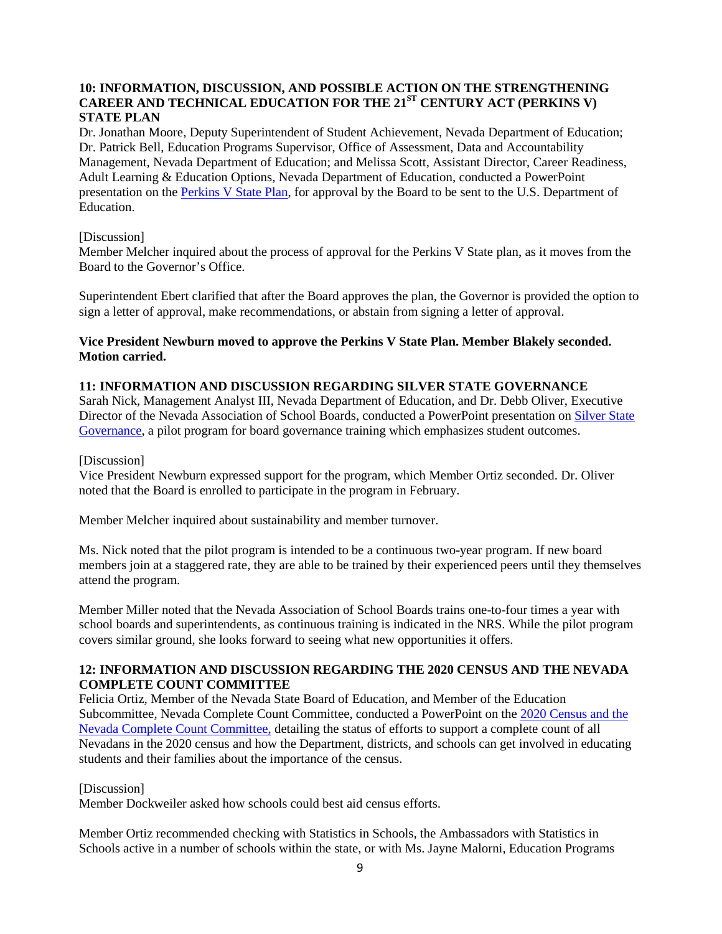# **10: INFORMATION, DISCUSSION, AND POSSIBLE ACTION ON THE STRENGTHENING CAREER AND TECHNICAL EDUCATION FOR THE 21ST CENTURY ACT (PERKINS V) STATE PLAN**

Dr. Jonathan Moore, Deputy Superintendent of Student Achievement, Nevada Department of Education; Dr. Patrick Bell, Education Programs Supervisor, Office of Assessment, Data and Accountability Management, Nevada Department of Education; and Melissa Scott, Assistant Director, Career Readiness, Adult Learning & Education Options, Nevada Department of Education, conducted a PowerPoint presentation on the [Perkins V State Plan,](http://www.doe.nv.gov/uploadedFiles/ndedoenvgov/content/Boards_Commissions_Councils/State_Board_of_Education/2019/December/PERKINS_V_Presentation.pdf) for approval by the Board to be sent to the U.S. Department of Education.

### [Discussion]

Member Melcher inquired about the process of approval for the Perkins V State plan, as it moves from the Board to the Governor's Office.

Superintendent Ebert clarified that after the Board approves the plan, the Governor is provided the option to sign a letter of approval, make recommendations, or abstain from signing a letter of approval.

# **Vice President Newburn moved to approve the Perkins V State Plan. Member Blakely seconded. Motion carried.**

#### **11: INFORMATION AND DISCUSSION REGARDING SILVER STATE GOVERNANCE**

Sarah Nick, Management Analyst III, Nevada Department of Education, and Dr. Debb Oliver, Executive Director of the Nevada Association of School Boards, conducted a PowerPoint presentation on [Silver State](http://www.doe.nv.gov/uploadedFiles/ndedoenvgov/content/Boards_Commissions_Councils/State_Board_of_Education/2019/December/Item11SSG.pdf)  [Governance,](http://www.doe.nv.gov/uploadedFiles/ndedoenvgov/content/Boards_Commissions_Councils/State_Board_of_Education/2019/December/Item11SSG.pdf) a pilot program for board governance training which emphasizes student outcomes.

#### [Discussion]

Vice President Newburn expressed support for the program, which Member Ortiz seconded. Dr. Oliver noted that the Board is enrolled to participate in the program in February.

Member Melcher inquired about sustainability and member turnover.

Ms. Nick noted that the pilot program is intended to be a continuous two-year program. If new board members join at a staggered rate, they are able to be trained by their experienced peers until they themselves attend the program.

Member Miller noted that the Nevada Association of School Boards trains one-to-four times a year with school boards and superintendents, as continuous training is indicated in the NRS. While the pilot program covers similar ground, she looks forward to seeing what new opportunities it offers.

# **12: INFORMATION AND DISCUSSION REGARDING THE 2020 CENSUS AND THE NEVADA COMPLETE COUNT COMMITTEE**

Felicia Ortiz, Member of the Nevada State Board of Education, and Member of the Education Subcommittee, Nevada Complete Count Committee, conducted a PowerPoint on the [2020 Census and the](http://www.doe.nv.gov/uploadedFiles/ndedoenvgov/content/Boards_Commissions_Councils/State_Board_of_Education/2019/December/CensusPresentation.pdf)  [Nevada Complete Count Committee,](http://www.doe.nv.gov/uploadedFiles/ndedoenvgov/content/Boards_Commissions_Councils/State_Board_of_Education/2019/December/CensusPresentation.pdf) detailing the status of efforts to support a complete count of all Nevadans in the 2020 census and how the Department, districts, and schools can get involved in educating students and their families about the importance of the census.

#### [Discussion]

Member Dockweiler asked how schools could best aid census efforts.

Member Ortiz recommended checking with Statistics in Schools, the Ambassadors with Statistics in Schools active in a number of schools within the state, or with Ms. Jayne Malorni, Education Programs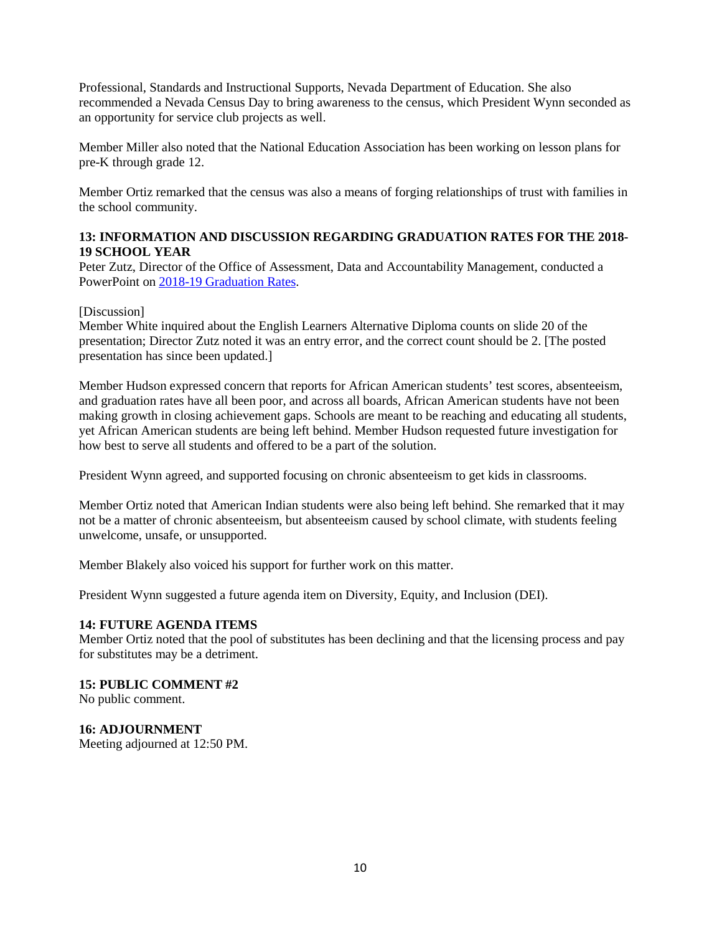Professional, Standards and Instructional Supports, Nevada Department of Education. She also recommended a Nevada Census Day to bring awareness to the census, which President Wynn seconded as an opportunity for service club projects as well.

Member Miller also noted that the National Education Association has been working on lesson plans for pre-K through grade 12.

Member Ortiz remarked that the census was also a means of forging relationships of trust with families in the school community.

# **13: INFORMATION AND DISCUSSION REGARDING GRADUATION RATES FOR THE 2018- 19 SCHOOL YEAR**

Peter Zutz, Director of the Office of Assessment, Data and Accountability Management, conducted a PowerPoint on [2018-19 Graduation Rates.](http://www.doe.nv.gov/uploadedFiles/ndedoenvgov/content/Boards_Commissions_Councils/State_Board_of_Education/2019/December/GraduationRatesSlidesFina.pdf)

### [Discussion]

Member White inquired about the English Learners Alternative Diploma counts on slide 20 of the presentation; Director Zutz noted it was an entry error, and the correct count should be 2. [The posted presentation has since been updated.]

Member Hudson expressed concern that reports for African American students' test scores, absenteeism, and graduation rates have all been poor, and across all boards, African American students have not been making growth in closing achievement gaps. Schools are meant to be reaching and educating all students, yet African American students are being left behind. Member Hudson requested future investigation for how best to serve all students and offered to be a part of the solution.

President Wynn agreed, and supported focusing on chronic absenteeism to get kids in classrooms.

Member Ortiz noted that American Indian students were also being left behind. She remarked that it may not be a matter of chronic absenteeism, but absenteeism caused by school climate, with students feeling unwelcome, unsafe, or unsupported.

Member Blakely also voiced his support for further work on this matter.

President Wynn suggested a future agenda item on Diversity, Equity, and Inclusion (DEI).

# **14: FUTURE AGENDA ITEMS**

Member Ortiz noted that the pool of substitutes has been declining and that the licensing process and pay for substitutes may be a detriment.

# **15: PUBLIC COMMENT #2**

No public comment.

### **16: ADJOURNMENT**

Meeting adjourned at 12:50 PM.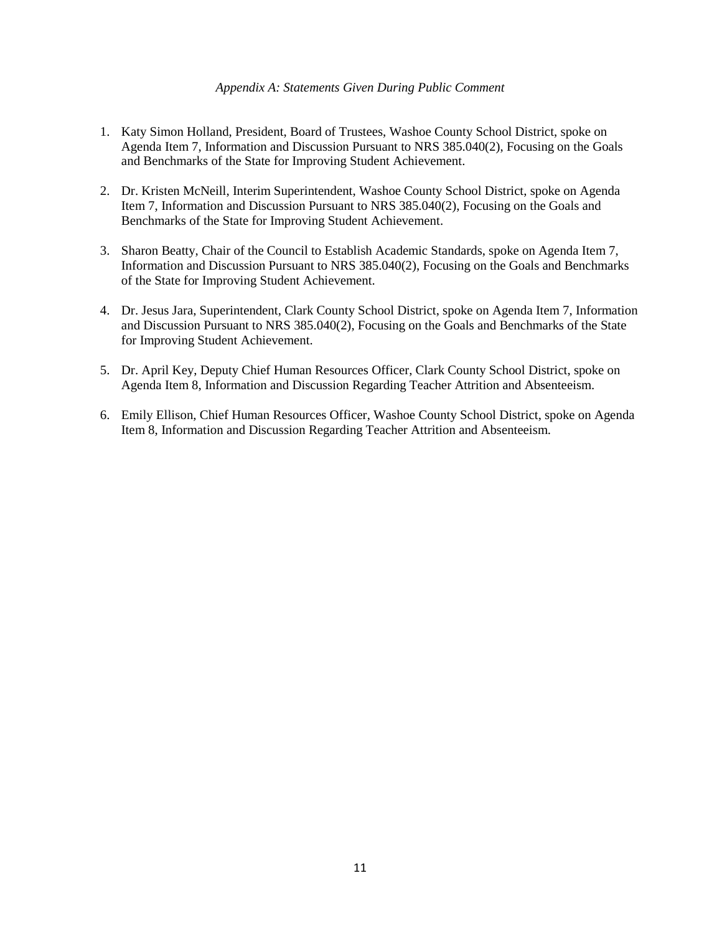#### *Appendix A: Statements Given During Public Comment*

- 1. Katy Simon Holland, President, Board of Trustees, Washoe County School District, spoke on Agenda Item 7, Information and Discussion Pursuant to NRS 385.040(2), Focusing on the Goals and Benchmarks of the State for Improving Student Achievement.
- 2. Dr. Kristen McNeill, Interim Superintendent, Washoe County School District, spoke on Agenda Item 7, Information and Discussion Pursuant to NRS 385.040(2), Focusing on the Goals and Benchmarks of the State for Improving Student Achievement.
- 3. Sharon Beatty, Chair of the Council to Establish Academic Standards, spoke on Agenda Item 7, Information and Discussion Pursuant to NRS 385.040(2), Focusing on the Goals and Benchmarks of the State for Improving Student Achievement.
- 4. Dr. Jesus Jara, Superintendent, Clark County School District, spoke on Agenda Item 7, Information and Discussion Pursuant to NRS 385.040(2), Focusing on the Goals and Benchmarks of the State for Improving Student Achievement.
- 5. Dr. April Key, Deputy Chief Human Resources Officer, Clark County School District, spoke on Agenda Item 8, Information and Discussion Regarding Teacher Attrition and Absenteeism.
- 6. Emily Ellison, Chief Human Resources Officer, Washoe County School District, spoke on Agenda Item 8, Information and Discussion Regarding Teacher Attrition and Absenteeism.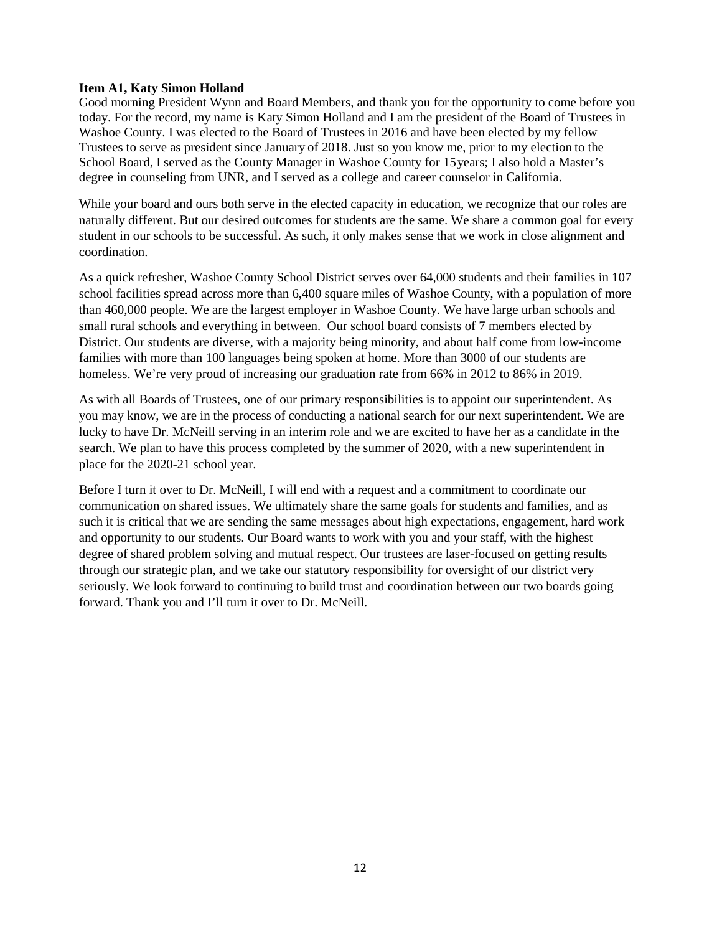## **Item A1, Katy Simon Holland**

Good morning President Wynn and Board Members, and thank you for the opportunity to come before you today. For the record, my name is Katy Simon Holland and I am the president of the Board of Trustees in Washoe County. I was elected to the Board of Trustees in 2016 and have been elected by my fellow Trustees to serve as president since January of 2018. Just so you know me, prior to my election to the School Board, I served as the County Manager in Washoe County for 15 years; I also hold a Master's degree in counseling from UNR, and I served as a college and career counselor in California.

While your board and ours both serve in the elected capacity in education, we recognize that our roles are naturally different. But our desired outcomes for students are the same. We share a common goal for every student in our schools to be successful. As such, it only makes sense that we work in close alignment and coordination.

As a quick refresher, Washoe County School District serves over 64,000 students and their families in 107 school facilities spread across more than 6,400 square miles of Washoe County, with a population of more than 460,000 people. We are the largest employer in Washoe County. We have large urban schools and small rural schools and everything in between. Our school board consists of 7 members elected by District. Our students are diverse, with a majority being minority, and about half come from low-income families with more than 100 languages being spoken at home. More than 3000 of our students are homeless. We're very proud of increasing our graduation rate from 66% in 2012 to 86% in 2019.

As with all Boards of Trustees, one of our primary responsibilities is to appoint our superintendent. As you may know, we are in the process of conducting a national search for our next superintendent. We are lucky to have Dr. McNeill serving in an interim role and we are excited to have her as a candidate in the search. We plan to have this process completed by the summer of 2020, with a new superintendent in place for the 2020-21 school year.

Before I turn it over to Dr. McNeill, I will end with a request and a commitment to coordinate our communication on shared issues. We ultimately share the same goals for students and families, and as such it is critical that we are sending the same messages about high expectations, engagement, hard work and opportunity to our students. Our Board wants to work with you and your staff, with the highest degree of shared problem solving and mutual respect. Our trustees are laser-focused on getting results through our strategic plan, and we take our statutory responsibility for oversight of our district very seriously. We look forward to continuing to build trust and coordination between our two boards going forward. Thank you and I'll turn it over to Dr. McNeill.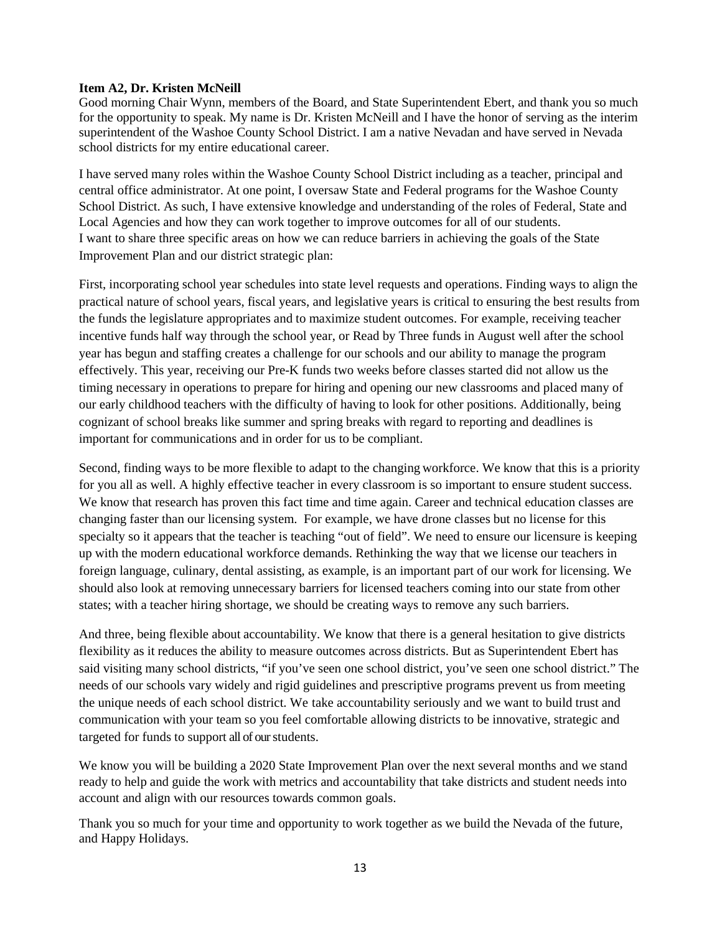# **Item A2, Dr. Kristen McNeill**

Good morning Chair Wynn, members of the Board, and State Superintendent Ebert, and thank you so much for the opportunity to speak. My name is Dr. Kristen McNeill and I have the honor of serving as the interim superintendent of the Washoe County School District. I am a native Nevadan and have served in Nevada school districts for my entire educational career.

I have served many roles within the Washoe County School District including as a teacher, principal and central office administrator. At one point, I oversaw State and Federal programs for the Washoe County School District. As such, I have extensive knowledge and understanding of the roles of Federal, State and Local Agencies and how they can work together to improve outcomes for all of our students. I want to share three specific areas on how we can reduce barriers in achieving the goals of the State Improvement Plan and our district strategic plan:

First, incorporating school year schedules into state level requests and operations. Finding ways to align the practical nature of school years, fiscal years, and legislative years is critical to ensuring the best results from the funds the legislature appropriates and to maximize student outcomes. For example, receiving teacher incentive funds half way through the school year, or Read by Three funds in August well after the school year has begun and staffing creates a challenge for our schools and our ability to manage the program effectively. This year, receiving our Pre-K funds two weeks before classes started did not allow us the timing necessary in operations to prepare for hiring and opening our new classrooms and placed many of our early childhood teachers with the difficulty of having to look for other positions. Additionally, being cognizant of school breaks like summer and spring breaks with regard to reporting and deadlines is important for communications and in order for us to be compliant.

Second, finding ways to be more flexible to adapt to the changing workforce. We know that this is a priority for you all as well. A highly effective teacher in every classroom is so important to ensure student success. We know that research has proven this fact time and time again. Career and technical education classes are changing faster than our licensing system. For example, we have drone classes but no license for this specialty so it appears that the teacher is teaching "out of field". We need to ensure our licensure is keeping up with the modern educational workforce demands. Rethinking the way that we license our teachers in foreign language, culinary, dental assisting, as example, is an important part of our work for licensing. We should also look at removing unnecessary barriers for licensed teachers coming into our state from other states; with a teacher hiring shortage, we should be creating ways to remove any such barriers.

And three, being flexible about accountability. We know that there is a general hesitation to give districts flexibility as it reduces the ability to measure outcomes across districts. But as Superintendent Ebert has said visiting many school districts, "if you've seen one school district, you've seen one school district." The needs of our schools vary widely and rigid guidelines and prescriptive programs prevent us from meeting the unique needs of each school district. We take accountability seriously and we want to build trust and communication with your team so you feel comfortable allowing districts to be innovative, strategic and targeted for funds to support all of our students.

We know you will be building a 2020 State Improvement Plan over the next several months and we stand ready to help and guide the work with metrics and accountability that take districts and student needs into account and align with our resources towards common goals.

Thank you so much for your time and opportunity to work together as we build the Nevada of the future, and Happy Holidays.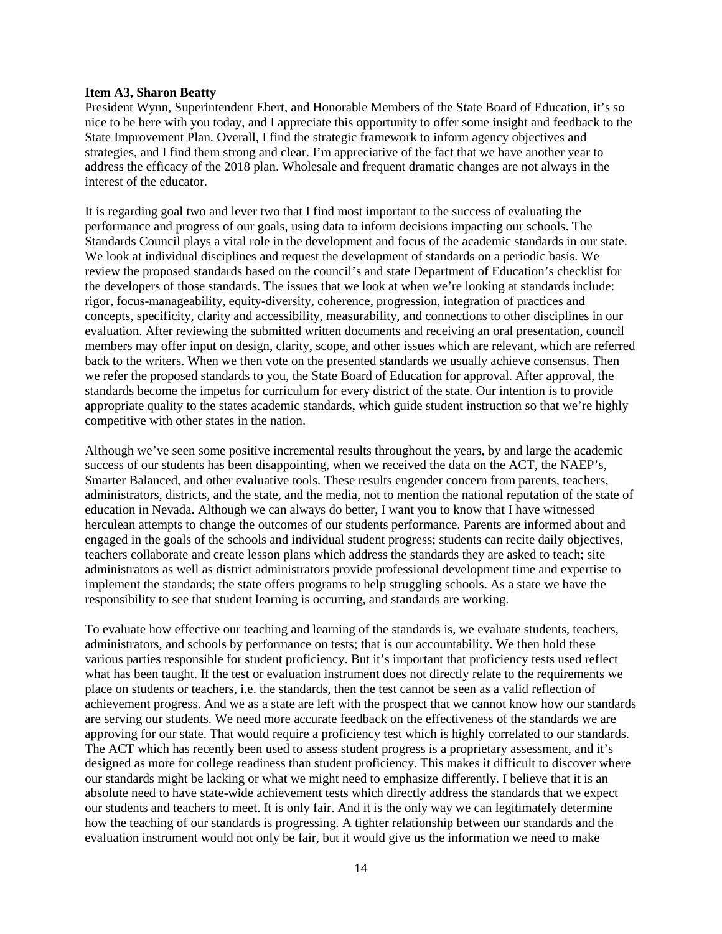#### **Item A3, Sharon Beatty**

President Wynn, Superintendent Ebert, and Honorable Members of the State Board of Education, it's so nice to be here with you today, and I appreciate this opportunity to offer some insight and feedback to the State Improvement Plan. Overall, I find the strategic framework to inform agency objectives and strategies, and I find them strong and clear. I'm appreciative of the fact that we have another year to address the efficacy of the 2018 plan. Wholesale and frequent dramatic changes are not always in the interest of the educator.

It is regarding goal two and lever two that I find most important to the success of evaluating the performance and progress of our goals, using data to inform decisions impacting our schools. The Standards Council plays a vital role in the development and focus of the academic standards in our state. We look at individual disciplines and request the development of standards on a periodic basis. We review the proposed standards based on the council's and state Department of Education's checklist for the developers of those standards. The issues that we look at when we're looking at standards include: rigor, focus-manageability, equity-diversity, coherence, progression, integration of practices and concepts, specificity, clarity and accessibility, measurability, and connections to other disciplines in our evaluation. After reviewing the submitted written documents and receiving an oral presentation, council members may offer input on design, clarity, scope, and other issues which are relevant, which are referred back to the writers. When we then vote on the presented standards we usually achieve consensus. Then we refer the proposed standards to you, the State Board of Education for approval. After approval, the standards become the impetus for curriculum for every district of the state. Our intention is to provide appropriate quality to the states academic standards, which guide student instruction so that we're highly competitive with other states in the nation.

Although we've seen some positive incremental results throughout the years, by and large the academic success of our students has been disappointing, when we received the data on the ACT, the NAEP's, Smarter Balanced, and other evaluative tools. These results engender concern from parents, teachers, administrators, districts, and the state, and the media, not to mention the national reputation of the state of education in Nevada. Although we can always do better, I want you to know that I have witnessed herculean attempts to change the outcomes of our students performance. Parents are informed about and engaged in the goals of the schools and individual student progress; students can recite daily objectives, teachers collaborate and create lesson plans which address the standards they are asked to teach; site administrators as well as district administrators provide professional development time and expertise to implement the standards; the state offers programs to help struggling schools. As a state we have the responsibility to see that student learning is occurring, and standards are working.

To evaluate how effective our teaching and learning of the standards is, we evaluate students, teachers, administrators, and schools by performance on tests; that is our accountability. We then hold these various parties responsible for student proficiency. But it's important that proficiency tests used reflect what has been taught. If the test or evaluation instrument does not directly relate to the requirements we place on students or teachers, i.e. the standards, then the test cannot be seen as a valid reflection of achievement progress. And we as a state are left with the prospect that we cannot know how our standards are serving our students. We need more accurate feedback on the effectiveness of the standards we are approving for our state. That would require a proficiency test which is highly correlated to our standards. The ACT which has recently been used to assess student progress is a proprietary assessment, and it's designed as more for college readiness than student proficiency. This makes it difficult to discover where our standards might be lacking or what we might need to emphasize differently. I believe that it is an absolute need to have state-wide achievement tests which directly address the standards that we expect our students and teachers to meet. It is only fair. And it is the only way we can legitimately determine how the teaching of our standards is progressing. A tighter relationship between our standards and the evaluation instrument would not only be fair, but it would give us the information we need to make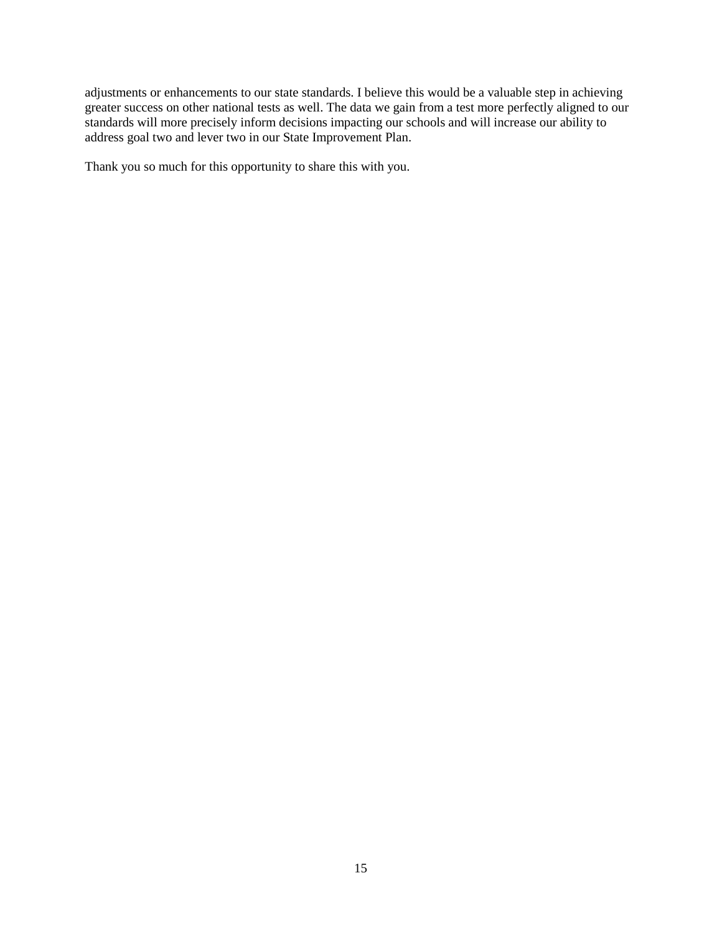adjustments or enhancements to our state standards. I believe this would be a valuable step in achieving greater success on other national tests as well. The data we gain from a test more perfectly aligned to our standards will more precisely inform decisions impacting our schools and will increase our ability to address goal two and lever two in our State Improvement Plan.

Thank you so much for this opportunity to share this with you.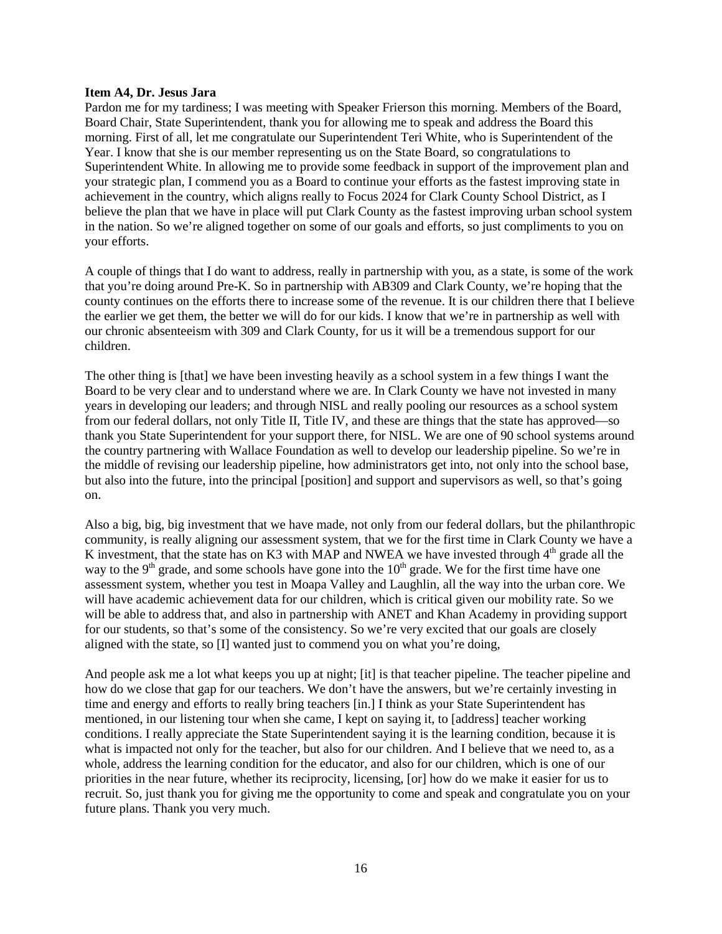#### **Item A4, Dr. Jesus Jara**

Pardon me for my tardiness; I was meeting with Speaker Frierson this morning. Members of the Board, Board Chair, State Superintendent, thank you for allowing me to speak and address the Board this morning. First of all, let me congratulate our Superintendent Teri White, who is Superintendent of the Year. I know that she is our member representing us on the State Board, so congratulations to Superintendent White. In allowing me to provide some feedback in support of the improvement plan and your strategic plan, I commend you as a Board to continue your efforts as the fastest improving state in achievement in the country, which aligns really to Focus 2024 for Clark County School District, as I believe the plan that we have in place will put Clark County as the fastest improving urban school system in the nation. So we're aligned together on some of our goals and efforts, so just compliments to you on your efforts.

A couple of things that I do want to address, really in partnership with you, as a state, is some of the work that you're doing around Pre-K. So in partnership with AB309 and Clark County, we're hoping that the county continues on the efforts there to increase some of the revenue. It is our children there that I believe the earlier we get them, the better we will do for our kids. I know that we're in partnership as well with our chronic absenteeism with 309 and Clark County, for us it will be a tremendous support for our children.

The other thing is [that] we have been investing heavily as a school system in a few things I want the Board to be very clear and to understand where we are. In Clark County we have not invested in many years in developing our leaders; and through NISL and really pooling our resources as a school system from our federal dollars, not only Title II, Title IV, and these are things that the state has approved—so thank you State Superintendent for your support there, for NISL. We are one of 90 school systems around the country partnering with Wallace Foundation as well to develop our leadership pipeline. So we're in the middle of revising our leadership pipeline, how administrators get into, not only into the school base, but also into the future, into the principal [position] and support and supervisors as well, so that's going on.

Also a big, big, big investment that we have made, not only from our federal dollars, but the philanthropic community, is really aligning our assessment system, that we for the first time in Clark County we have a K investment, that the state has on K3 with MAP and NWEA we have invested through  $4<sup>th</sup>$  grade all the way to the  $9<sup>th</sup>$  grade, and some schools have gone into the  $10<sup>th</sup>$  grade. We for the first time have one assessment system, whether you test in Moapa Valley and Laughlin, all the way into the urban core. We will have academic achievement data for our children, which is critical given our mobility rate. So we will be able to address that, and also in partnership with ANET and Khan Academy in providing support for our students, so that's some of the consistency. So we're very excited that our goals are closely aligned with the state, so [I] wanted just to commend you on what you're doing,

And people ask me a lot what keeps you up at night; [it] is that teacher pipeline. The teacher pipeline and how do we close that gap for our teachers. We don't have the answers, but we're certainly investing in time and energy and efforts to really bring teachers [in.] I think as your State Superintendent has mentioned, in our listening tour when she came, I kept on saying it, to [address] teacher working conditions. I really appreciate the State Superintendent saying it is the learning condition, because it is what is impacted not only for the teacher, but also for our children. And I believe that we need to, as a whole, address the learning condition for the educator, and also for our children, which is one of our priorities in the near future, whether its reciprocity, licensing, [or] how do we make it easier for us to recruit. So, just thank you for giving me the opportunity to come and speak and congratulate you on your future plans. Thank you very much.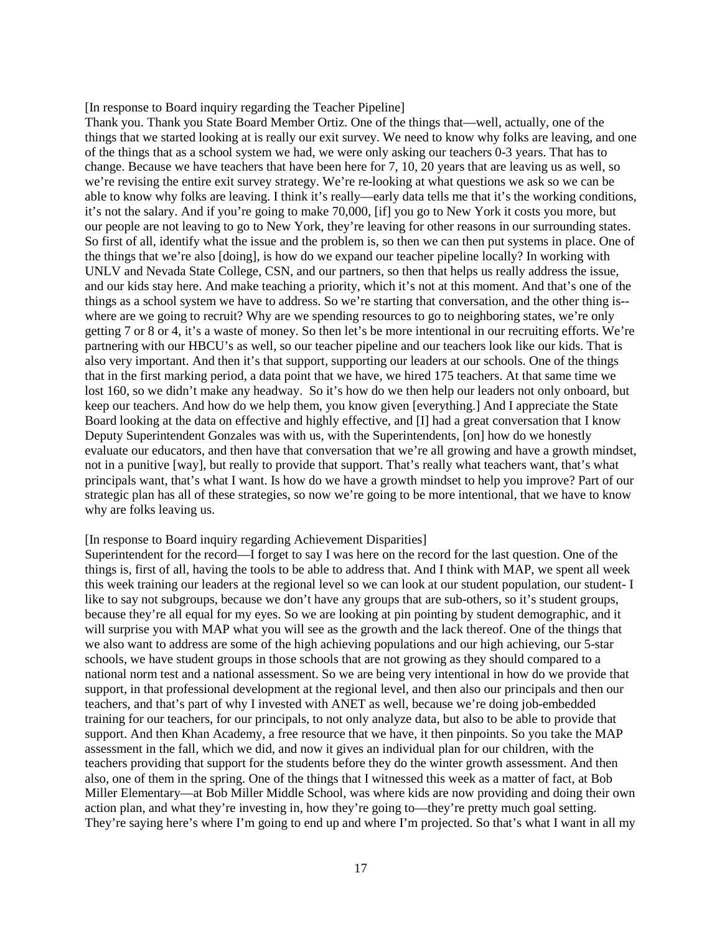#### [In response to Board inquiry regarding the Teacher Pipeline]

Thank you. Thank you State Board Member Ortiz. One of the things that—well, actually, one of the things that we started looking at is really our exit survey. We need to know why folks are leaving, and one of the things that as a school system we had, we were only asking our teachers 0-3 years. That has to change. Because we have teachers that have been here for 7, 10, 20 years that are leaving us as well, so we're revising the entire exit survey strategy. We're re-looking at what questions we ask so we can be able to know why folks are leaving. I think it's really—early data tells me that it's the working conditions, it's not the salary. And if you're going to make 70,000, [if] you go to New York it costs you more, but our people are not leaving to go to New York, they're leaving for other reasons in our surrounding states. So first of all, identify what the issue and the problem is, so then we can then put systems in place. One of the things that we're also [doing], is how do we expand our teacher pipeline locally? In working with UNLV and Nevada State College, CSN, and our partners, so then that helps us really address the issue, and our kids stay here. And make teaching a priority, which it's not at this moment. And that's one of the things as a school system we have to address. So we're starting that conversation, and the other thing is- where are we going to recruit? Why are we spending resources to go to neighboring states, we're only getting 7 or 8 or 4, it's a waste of money. So then let's be more intentional in our recruiting efforts. We're partnering with our HBCU's as well, so our teacher pipeline and our teachers look like our kids. That is also very important. And then it's that support, supporting our leaders at our schools. One of the things that in the first marking period, a data point that we have, we hired 175 teachers. At that same time we lost 160, so we didn't make any headway. So it's how do we then help our leaders not only onboard, but keep our teachers. And how do we help them, you know given [everything.] And I appreciate the State Board looking at the data on effective and highly effective, and [I] had a great conversation that I know Deputy Superintendent Gonzales was with us, with the Superintendents, [on] how do we honestly evaluate our educators, and then have that conversation that we're all growing and have a growth mindset, not in a punitive [way], but really to provide that support. That's really what teachers want, that's what principals want, that's what I want. Is how do we have a growth mindset to help you improve? Part of our strategic plan has all of these strategies, so now we're going to be more intentional, that we have to know why are folks leaving us.

#### [In response to Board inquiry regarding Achievement Disparities]

Superintendent for the record—I forget to say I was here on the record for the last question. One of the things is, first of all, having the tools to be able to address that. And I think with MAP, we spent all week this week training our leaders at the regional level so we can look at our student population, our student- I like to say not subgroups, because we don't have any groups that are sub-others, so it's student groups, because they're all equal for my eyes. So we are looking at pin pointing by student demographic, and it will surprise you with MAP what you will see as the growth and the lack thereof. One of the things that we also want to address are some of the high achieving populations and our high achieving, our 5-star schools, we have student groups in those schools that are not growing as they should compared to a national norm test and a national assessment. So we are being very intentional in how do we provide that support, in that professional development at the regional level, and then also our principals and then our teachers, and that's part of why I invested with ANET as well, because we're doing job-embedded training for our teachers, for our principals, to not only analyze data, but also to be able to provide that support. And then Khan Academy, a free resource that we have, it then pinpoints. So you take the MAP assessment in the fall, which we did, and now it gives an individual plan for our children, with the teachers providing that support for the students before they do the winter growth assessment. And then also, one of them in the spring. One of the things that I witnessed this week as a matter of fact, at Bob Miller Elementary—at Bob Miller Middle School, was where kids are now providing and doing their own action plan, and what they're investing in, how they're going to—they're pretty much goal setting. They're saying here's where I'm going to end up and where I'm projected. So that's what I want in all my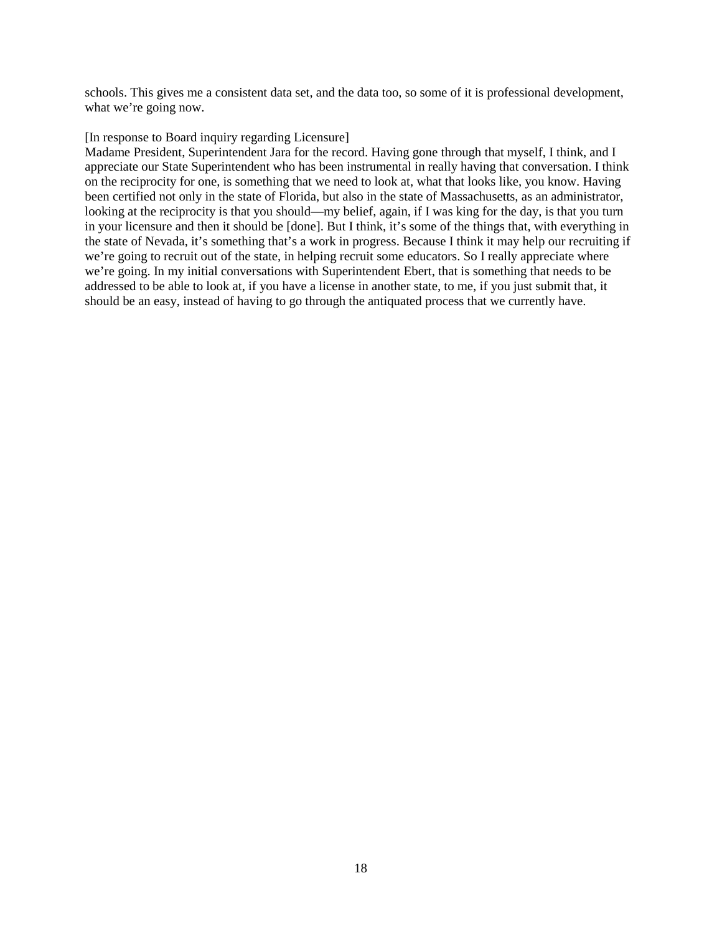schools. This gives me a consistent data set, and the data too, so some of it is professional development, what we're going now.

#### [In response to Board inquiry regarding Licensure]

Madame President, Superintendent Jara for the record. Having gone through that myself, I think, and I appreciate our State Superintendent who has been instrumental in really having that conversation. I think on the reciprocity for one, is something that we need to look at, what that looks like, you know. Having been certified not only in the state of Florida, but also in the state of Massachusetts, as an administrator, looking at the reciprocity is that you should—my belief, again, if I was king for the day, is that you turn in your licensure and then it should be [done]. But I think, it's some of the things that, with everything in the state of Nevada, it's something that's a work in progress. Because I think it may help our recruiting if we're going to recruit out of the state, in helping recruit some educators. So I really appreciate where we're going. In my initial conversations with Superintendent Ebert, that is something that needs to be addressed to be able to look at, if you have a license in another state, to me, if you just submit that, it should be an easy, instead of having to go through the antiquated process that we currently have.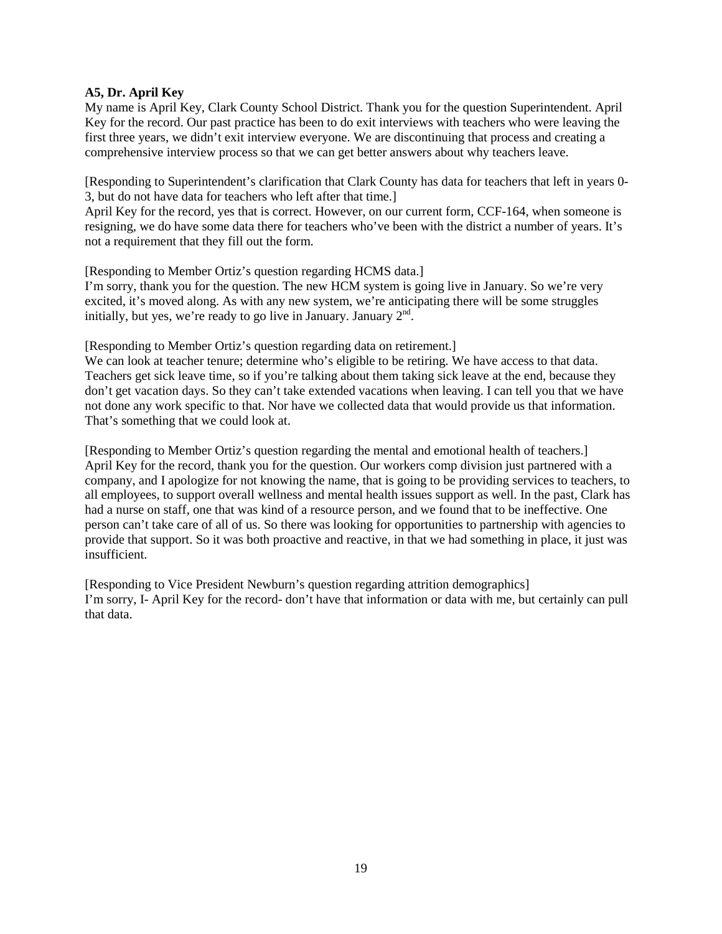## **A5, Dr. April Key**

My name is April Key, Clark County School District. Thank you for the question Superintendent. April Key for the record. Our past practice has been to do exit interviews with teachers who were leaving the first three years, we didn't exit interview everyone. We are discontinuing that process and creating a comprehensive interview process so that we can get better answers about why teachers leave.

[Responding to Superintendent's clarification that Clark County has data for teachers that left in years 0- 3, but do not have data for teachers who left after that time.]

April Key for the record, yes that is correct. However, on our current form, CCF-164, when someone is resigning, we do have some data there for teachers who've been with the district a number of years. It's not a requirement that they fill out the form.

[Responding to Member Ortiz's question regarding HCMS data.]

I'm sorry, thank you for the question. The new HCM system is going live in January. So we're very excited, it's moved along. As with any new system, we're anticipating there will be some struggles initially, but yes, we're ready to go live in January. January  $2<sup>nd</sup>$ .

[Responding to Member Ortiz's question regarding data on retirement.]

We can look at teacher tenure; determine who's eligible to be retiring. We have access to that data. Teachers get sick leave time, so if you're talking about them taking sick leave at the end, because they don't get vacation days. So they can't take extended vacations when leaving. I can tell you that we have not done any work specific to that. Nor have we collected data that would provide us that information. That's something that we could look at.

[Responding to Member Ortiz's question regarding the mental and emotional health of teachers.] April Key for the record, thank you for the question. Our workers comp division just partnered with a company, and I apologize for not knowing the name, that is going to be providing services to teachers, to all employees, to support overall wellness and mental health issues support as well. In the past, Clark has had a nurse on staff, one that was kind of a resource person, and we found that to be ineffective. One person can't take care of all of us. So there was looking for opportunities to partnership with agencies to provide that support. So it was both proactive and reactive, in that we had something in place, it just was insufficient.

[Responding to Vice President Newburn's question regarding attrition demographics] I'm sorry, I- April Key for the record- don't have that information or data with me, but certainly can pull that data.